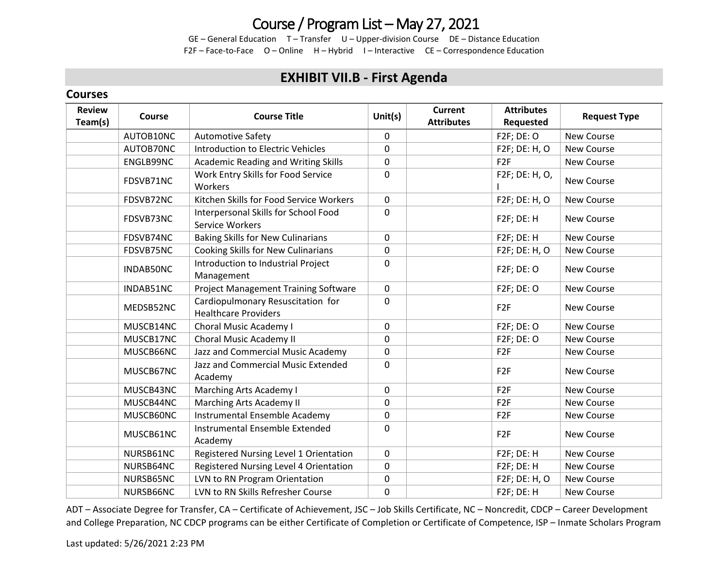## Course / Program List – May 27, 2021

GE – General Education T – Transfer U – Upper-division Course DE – Distance Education F2F – Face-to-Face O – Online H – Hybrid I – Interactive CE – Correspondence Education

### **EXHIBIT VII.B - First Agenda**

#### **Courses**

| <b>Review</b><br>Team(s) | <b>Course</b> | <b>Course Title</b>                                              | Unit $(s)$   | <b>Current</b><br><b>Attributes</b> | <b>Attributes</b><br>Requested | <b>Request Type</b> |
|--------------------------|---------------|------------------------------------------------------------------|--------------|-------------------------------------|--------------------------------|---------------------|
|                          | AUTOB10NC     | <b>Automotive Safety</b>                                         | $\mathsf{O}$ |                                     | <b>F2F; DE: O</b>              | New Course          |
|                          | AUTOB70NC     | <b>Introduction to Electric Vehicles</b>                         | 0            |                                     | F2F; DE: H, O                  | New Course          |
|                          | ENGLB99NC     | <b>Academic Reading and Writing Skills</b>                       | 0            |                                     | F <sub>2F</sub>                | New Course          |
|                          | FDSVB71NC     | Work Entry Skills for Food Service<br>Workers                    | 0            |                                     | F2F; DE: H, O,                 | New Course          |
|                          | FDSVB72NC     | Kitchen Skills for Food Service Workers                          | 0            |                                     | F2F; DE: H, O                  | New Course          |
|                          | FDSVB73NC     | Interpersonal Skills for School Food<br>Service Workers          | 0            |                                     | F2F; DE: H                     | <b>New Course</b>   |
|                          | FDSVB74NC     | <b>Baking Skills for New Culinarians</b>                         | 0            |                                     | F2F; DE: H                     | New Course          |
|                          | FDSVB75NC     | Cooking Skills for New Culinarians                               | 0            |                                     | F2F; DE: H, O                  | New Course          |
|                          | INDAB50NC     | Introduction to Industrial Project<br>Management                 | 0            |                                     | <b>F2F; DE: O</b>              | New Course          |
|                          | INDAB51NC     | <b>Project Management Training Software</b>                      | 0            |                                     | F2F; DE: O                     | New Course          |
|                          | MEDSB52NC     | Cardiopulmonary Resuscitation for<br><b>Healthcare Providers</b> | 0            |                                     | F <sub>2F</sub>                | New Course          |
|                          | MUSCB14NC     | Choral Music Academy I                                           | $\mathsf{O}$ |                                     | F2F; DE: O                     | New Course          |
|                          | MUSCB17NC     | Choral Music Academy II                                          | 0            |                                     | F2F; DE: O                     | <b>New Course</b>   |
|                          | MUSCB66NC     | Jazz and Commercial Music Academy                                | 0            |                                     | F <sub>2F</sub>                | New Course          |
|                          | MUSCB67NC     | Jazz and Commercial Music Extended<br>Academy                    | 0            |                                     | F <sub>2F</sub>                | New Course          |
|                          | MUSCB43NC     | Marching Arts Academy I                                          | 0            |                                     | F <sub>2F</sub>                | New Course          |
|                          | MUSCB44NC     | Marching Arts Academy II                                         | 0            |                                     | F <sub>2F</sub>                | <b>New Course</b>   |
|                          | MUSCB60NC     | Instrumental Ensemble Academy                                    | 0            |                                     | F <sub>2F</sub>                | New Course          |
|                          | MUSCB61NC     | Instrumental Ensemble Extended<br>Academy                        | 0            |                                     | F <sub>2F</sub>                | New Course          |
|                          | NURSB61NC     | Registered Nursing Level 1 Orientation                           | $\mathsf{O}$ |                                     | F2F; DE: H                     | New Course          |
|                          | NURSB64NC     | Registered Nursing Level 4 Orientation                           | 0            |                                     | F2F; DE: H                     | New Course          |
|                          | NURSB65NC     | LVN to RN Program Orientation                                    | 0            |                                     | F2F; DE: H, O                  | New Course          |
|                          | NURSB66NC     | LVN to RN Skills Refresher Course                                | 0            |                                     | F2F; DE: H                     | <b>New Course</b>   |

ADT – Associate Degree for Transfer, CA – Certificate of Achievement, JSC – Job Skills Certificate, NC – Noncredit, CDCP – Career Development and College Preparation, NC CDCP programs can be either Certificate of Completion or Certificate of Competence, ISP – Inmate Scholars Program